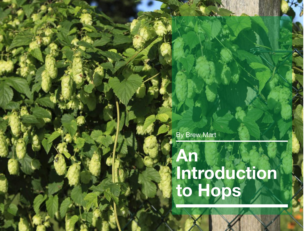By Brew Mart

# **An Introduction to Hops**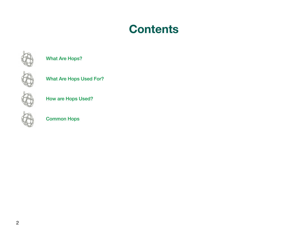### **Contents**



What Are Hops?



What Are Hops Used For?



How are Hops Used?



Common Hops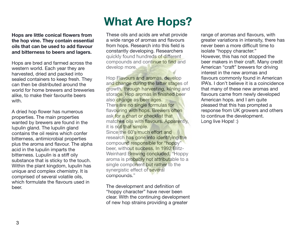## **What Are Hops?**

**Hops are little conical flowers from the hop vine. They contain essential oils that can be used to add flavour and bitterness to beers and lagers.** 

Hops are bred and farmed across the western world. Each year they are harvested, dried and packed into sealed containers to keep fresh. They can then be distributed around the world for home brewers and breweries alike, to make their favourite beers with.

A dried hop flower has numerous properties. The main properties wanted by brewers are found in the lupulin gland. The lupulin gland contains the oil resins which confer bitterness, antimicrobial properties plus the aroma and flavour. The alpha acid in the lupulin imparts the bitterness. Lupulin is a stiff oily substance that is sticky to the touch. Within the plant kingdom, lupulin has unique and complex chemistry. It is comprised of several volatile oils, which formulate the flavours used in beer.

These oils and acids are what provide a wide range of aromas and flavours from hops. Research into this field is constantly developing. Researchers quickly found hundreds of different compounds and continue to find and develop more.

Hop Flavours and aromas, develop and change during the latter stages of growth, through harvesting, kilning and storage. Hop aromas in finished beer also change as beer ages. There are no single formulas for flavouring with hops. Brewers often ask for a chart or checklist that matches oils with flavours. Apparently, it is not that simple. Since the 60's much effort and research has gone into identifying the compound responsible for "hoppy" beer, without success. In 1992 Blitz-Weinhard Brewing concluded, "Hoppy aroma is probably not attributable to a single component but rather to the synergistic effect of several compounds."

The development and definition of "hoppy character" have never been clear. With the continuing development of new hop strains providing a greater

range of aromas and flavours, with greater variations in intensity, there has never been a more difficult time to isolate "hoppy character." However, this has not stopped the beer makers in their craft. Many credit American "craft" brewers for driving interest in the new aromas and flavours commonly found in American IPA's. I don't believe it is a coincidence that many of these new aromas and flavours came from newly developed American hops. and I am quite pleased that this has prompted a response from UK growers and others to continue the development. Long live Hops! :)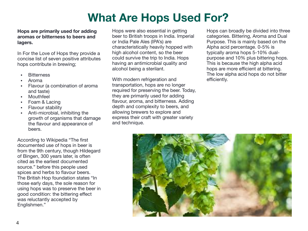### **What Are Hops Used For?**

#### **Hops are primarily used for adding aromas or bitterness to beers and lagers.**

In For the Love of Hops they provide a concise list of seven positive attributes hops contribute in brewing;

- **Bitterness**
- Aroma
- Flavour (a combination of aroma and taste)
- Mouthfeel
- Foam & Lacing
- Flavour stability
- Anti-microbial, inhibiting the growth of organisms that damage the flavour and appearance of beers.

According to Wikipedia "The first documented use of hops in beer is from the 9th century, though Hildegard of Bingen, 300 years later, is often cited as the earliest documented source." before this people used spices and herbs to flavour beers. The British Hop foundation states "In those early days, the sole reason for using hops was to preserve the beer in good condition: the bittering effect was reluctantly accepted by Englishmen."

Hops were also essential in getting beer to British troops in India. Imperial or India Pale Ales (IPA's) are characteristically heavily hopped with high alcohol content, so the beer could survive the trip to India. Hops having an antimicrobial quality and alcohol being a sterilant.

With modern refrigeration and transportation, hops are no longer required for preserving the beer. Today, they are primarily used for adding flavour, aroma, and bitterness. Adding depth and complexity to beers, and allowing brewers to explore and express their craft with greater variety and technique.

Hops can broadly be divided into three categories. Bittering, Aroma and Dual Purpose. This is mainly based on the Alpha acid percentage. 0-5% is typically aroma hops 5-10% dualpurpose and 10% plus bittering hops. This is because the high alpha acid hops are more efficient at bittering. The low alpha acid hops do not bitter efficiently.

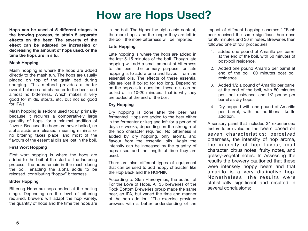### **How are Hops Used?**

**Hops can be used at 5 different stages in the brewing process, to attain 5 separate effects on the beer. The severity of the effect can be adapted by increasing or decreasing the amount of hops used, or the time the hops are in situ.**

#### **Mash Hopping**

Mash hopping is where the hops are added directly to the mash tun. The hops are usually placed on top of the grain bed during sparging. This method provides a better overall balance and character to the beer, and almost no bitterness. Which makes it very good for milds, stouts, etc, but not so good for IPA's

Mash hopping is seldom used today, primarily because it requires a comparatively large quantity of hops, for a minimal addition of flavour. Because the hops are never boiled, no alpha acids are released, meaning minimal or no bittering takes place, and most of the flavours of the essential oils are lost in the boil.

#### **First Wort Hopping**

First wort hopping is where the hops are added to the boil at the start of the lautering process. The hops remain in the mash during the boil, enabling the alpha acids to be released, contributing "hoppy" bitterness.

#### **Bitter Hopping**

Bittering Hops are hops added at the boiling stage. Depending on the level of bittering required, brewers will adapt the hop variety, the quantity of hops and the time the hops are

in the boil. The higher the alpha acid content, the more hops, and the longer they are left in the boil, the more bitterness will be imparted.

#### **Late Hopping**

Late hopping is where the hops are added in the last 5-15 minutes of the boil. Though late hopping will add a small amount of bitterness to the beer, the primary purpose for late hopping is to add aroma and flavour from the essential oils. The effects of these essential oils are lost if boiled for too long. Depending on the hop/oils in question, these oils can be boiled off in 10-20 minutes. That is why they are added at the end of the boil.

#### **Dry Hopping**

Dry hopping is done after the beer has fermented. Hops are added to the beer either in the fermenter or keg and left for a period of days or weeks, depending on the strength of the hop character required. No bitterness is added by dry hopping, only aroma, and flavour from the essential oils. Again the intensity can be increased by the quantity of hops used and the length of time they are used.

There are also different types of equipment that can be used to add hoppy character, like the Hop Back and the HOPNIK

According to Stan Hieronymus, the author of For the Love of Hops, All 35 breweries of the Rock Bottom Breweries group made the same beer, an IPA, but varied the time and manner of the hop addition. "The exercise provided brewers with a better understanding of the

impact of different hopping schemes." "Each beer received the same significant hop dose for 90 minutes and 30 minutes. Breweries then followed one of four procedures.

- 1. added one pound of Amarillo per barrel at the end of the boil, with 50 minutes of post-boil residence.
- 2. Added one pound Amarillo per barrel at end of the boil, 80 minutes post boil residence.
- 3. Added 1/2 a pound of Amarillo per barrel at the end of the boil, with 80 minutes post boil residence, and 1/2 pound per barrel as dry hops.
- 4. Dry-hopped with one pound of Amarillo per barrel, with no additional kettle addition.

A sensory panel that included 34 experienced tasters later evaluated the beers based on seven characteristics: perceived bitterness, the intensity of hop aroma, the intensity of hop flavour, malt character, citrus notes, fruity notes, and grassy-vegetal notes. In Assessing the results the brewery cautioned that these were intensely hoppy beers and that amarillo is a very distinctive hop. Nonetheless, the results were statistically significant and resulted in several conclusions: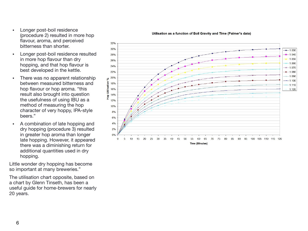Longer post-boil residence (procedure 2) resulted in more hop flavour, aroma, and perceived bitterness than shorter.

- Longer post-boil residence resulted in more hop flavour than dry hopping, and that hop flavour is best developed in the kettle.
- There was no apparent relationship between measured bitterness and hop flavour or hop aroma. "this result also brought into question the usefulness of using IBU as a method of measuring the hop character of very hoppy, IPA-style beers."
- A combination of late hopping and dry hopping (procedure 3) resulted in greater hop aroma than longer late hopping. However, it appeared there was a diminishing return for additional quantities used in dry hopping.

Little wonder dry hopping has become so important at many breweries."

The utilisation chart opposite, based on a chart by Glenn Tinseth, has been a useful guide for home-brewers for nearly 20 years.